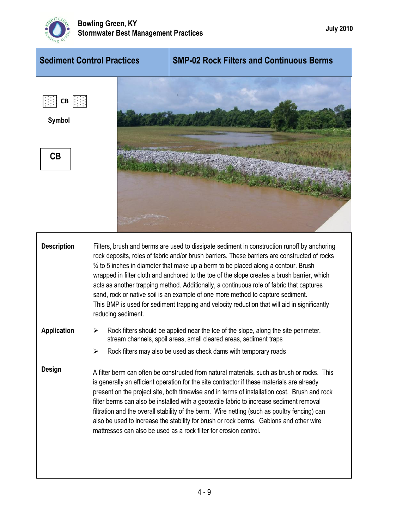

| <b>Sediment Control Practices</b>            |                                                                                                                                                                                                                                                                                                                                                                                                                                                                                                                                                                                                                                                                                                   | <b>SMP-02 Rock Filters and Continuous Berms</b>                                                                                                                                                                                                                                                                                                                                                                                                                                                                                                                                                                                                      |
|----------------------------------------------|---------------------------------------------------------------------------------------------------------------------------------------------------------------------------------------------------------------------------------------------------------------------------------------------------------------------------------------------------------------------------------------------------------------------------------------------------------------------------------------------------------------------------------------------------------------------------------------------------------------------------------------------------------------------------------------------------|------------------------------------------------------------------------------------------------------------------------------------------------------------------------------------------------------------------------------------------------------------------------------------------------------------------------------------------------------------------------------------------------------------------------------------------------------------------------------------------------------------------------------------------------------------------------------------------------------------------------------------------------------|
| $CB \cup \{ \cdot \}$<br><b>Symbol</b><br>CB |                                                                                                                                                                                                                                                                                                                                                                                                                                                                                                                                                                                                                                                                                                   |                                                                                                                                                                                                                                                                                                                                                                                                                                                                                                                                                                                                                                                      |
| <b>Description</b>                           | Filters, brush and berms are used to dissipate sediment in construction runoff by anchoring<br>rock deposits, roles of fabric and/or brush barriers. These barriers are constructed of rocks<br>$\frac{3}{4}$ to 5 inches in diameter that make up a berm to be placed along a contour. Brush<br>wrapped in filter cloth and anchored to the toe of the slope creates a brush barrier, which<br>acts as another trapping method. Additionally, a continuous role of fabric that captures<br>sand, rock or native soil is an example of one more method to capture sediment.<br>This BMP is used for sediment trapping and velocity reduction that will aid in significantly<br>reducing sediment. |                                                                                                                                                                                                                                                                                                                                                                                                                                                                                                                                                                                                                                                      |
| <b>Application</b>                           | ⋗<br>➤                                                                                                                                                                                                                                                                                                                                                                                                                                                                                                                                                                                                                                                                                            | Rock filters should be applied near the toe of the slope, along the site perimeter,<br>stream channels, spoil areas, small cleared areas, sediment traps<br>Rock filters may also be used as check dams with temporary roads                                                                                                                                                                                                                                                                                                                                                                                                                         |
| Design                                       |                                                                                                                                                                                                                                                                                                                                                                                                                                                                                                                                                                                                                                                                                                   | A filter berm can often be constructed from natural materials, such as brush or rocks. This<br>is generally an efficient operation for the site contractor if these materials are already<br>present on the project site, both timewise and in terms of installation cost. Brush and rock<br>filter berms can also be installed with a geotextile fabric to increase sediment removal<br>filtration and the overall stability of the berm. Wire netting (such as poultry fencing) can<br>also be used to increase the stability for brush or rock berms. Gabions and other wire<br>mattresses can also be used as a rock filter for erosion control. |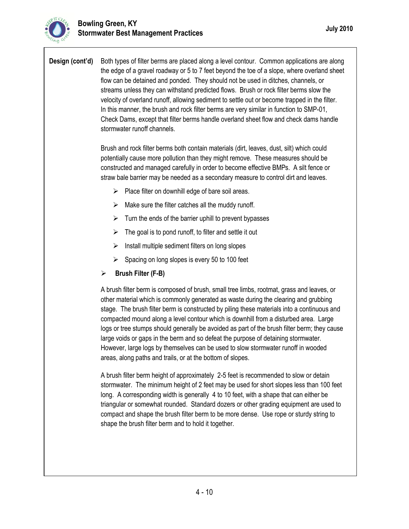**Design (cont'd)** Both types of filter berms are placed along a level contour. Common applications are along the edge of a gravel roadway or 5 to 7 feet beyond the toe of a slope, where overland sheet flow can be detained and ponded. They should not be used in ditches, channels, or streams unless they can withstand predicted flows. Brush or rock filter berms slow the velocity of overland runoff, allowing sediment to settle out or become trapped in the filter. In this manner, the brush and rock filter berms are very similar in function to SMP-01, Check Dams, except that filter berms handle overland sheet flow and check dams handle stormwater runoff channels.

> Brush and rock filter berms both contain materials (dirt, leaves, dust, silt) which could potentially cause more pollution than they might remove. These measures should be constructed and managed carefully in order to become effective BMPs. A silt fence or straw bale barrier may be needed as a secondary measure to control dirt and leaves.

- $\triangleright$  Place filter on downhill edge of bare soil areas.
- $\triangleright$  Make sure the filter catches all the muddy runoff.
- $\triangleright$  Turn the ends of the barrier uphill to prevent bypasses
- $\triangleright$  The goal is to pond runoff, to filter and settle it out
- $\triangleright$  Install multiple sediment filters on long slopes
- $\triangleright$  Spacing on long slopes is every 50 to 100 feet
- **Brush Filter (F-B)**

A brush filter berm is composed of brush, small tree limbs, rootmat, grass and leaves, or other material which is commonly generated as waste during the clearing and grubbing stage. The brush filter berm is constructed by piling these materials into a continuous and compacted mound along a level contour which is downhill from a disturbed area. Large logs or tree stumps should generally be avoided as part of the brush filter berm; they cause large voids or gaps in the berm and so defeat the purpose of detaining stormwater. However, large logs by themselves can be used to slow stormwater runoff in wooded areas, along paths and trails, or at the bottom of slopes.

A brush filter berm height of approximately 2-5 feet is recommended to slow or detain stormwater. The minimum height of 2 feet may be used for short slopes less than 100 feet long. A corresponding width is generally 4 to 10 feet, with a shape that can either be triangular or somewhat rounded. Standard dozers or other grading equipment are used to compact and shape the brush filter berm to be more dense. Use rope or sturdy string to shape the brush filter berm and to hold it together.